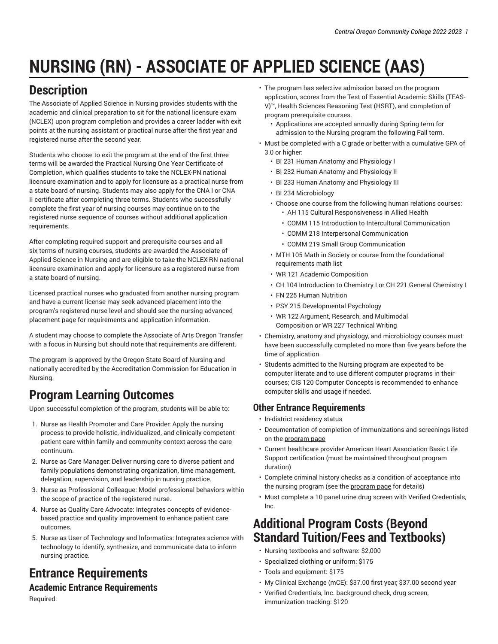# **NURSING (RN) - ASSOCIATE OF APPLIED SCIENCE (AAS)**

# **Description**

The Associate of Applied Science in Nursing provides students with the academic and clinical preparation to sit for the national licensure exam (NCLEX) upon program completion and provides a career ladder with exit points at the nursing assistant or practical nurse after the first year and registered nurse after the second year.

Students who choose to exit the program at the end of the first three terms will be awarded the Practical Nursing One Year Certificate of Completion, which qualifies students to take the NCLEX-PN national licensure examination and to apply for licensure as a practical nurse from a state board of nursing. Students may also apply for the CNA I or CNA II certificate after completing three terms. Students who successfully complete the first year of nursing courses may continue on to the registered nurse sequence of courses without additional application requirements.

After completing required support and prerequisite courses and all six terms of nursing courses, students are awarded the Associate of Applied Science in Nursing and are eligible to take the NCLEX-RN national licensure examination and apply for licensure as a registered nurse from a state board of nursing.

Licensed practical nurses who graduated from another nursing program and have a current license may seek advanced placement into the program's registered nurse level and should see the nursing [advanced](https://www.cocc.edu/programs/nursing/nursing-advanced-placement-program.aspx) [placement page](https://www.cocc.edu/programs/nursing/nursing-advanced-placement-program.aspx) for requirements and application information.

A student may choose to complete the Associate of Arts Oregon Transfer with a focus in Nursing but should note that requirements are different.

The program is approved by the Oregon State Board of Nursing and nationally accredited by the Accreditation Commission for Education in Nursing.

### **Program Learning Outcomes**

Upon successful completion of the program, students will be able to:

- 1. Nurse as Health Promoter and Care Provider: Apply the nursing process to provide holistic, individualized, and clinically competent patient care within family and community context across the care continuum.
- 2. Nurse as Care Manager: Deliver nursing care to diverse patient and family populations demonstrating organization, time management, delegation, supervision, and leadership in nursing practice.
- 3. Nurse as Professional Colleague: Model professional behaviors within the scope of practice of the registered nurse.
- 4. Nurse as Quality Care Advocate: Integrates concepts of evidencebased practice and quality improvement to enhance patient care outcomes.
- 5. Nurse as User of Technology and Informatics: Integrates science with technology to identify, synthesize, and communicate data to inform nursing practice.

# **Entrance Requirements**

#### **Academic Entrance Requirements**

Required:

- The program has selective admission based on the program application, scores from the Test of Essential Academic Skills (TEAS-V)™, Health Sciences Reasoning Test (HSRT), and completion of program prerequisite courses.
	- Applications are accepted annually during Spring term for admission to the Nursing program the following Fall term.
- Must be completed with a C grade or better with a cumulative GPA of 3.0 or higher:
	- BI 231 Human Anatomy and Physiology I
	- BI 232 Human Anatomy and Physiology II
	- BI 233 Human Anatomy and Physiology III
	- BI 234 Microbiology
	- Choose one course from the following human relations courses: • AH 115 Cultural Responsiveness in Allied Health
		- COMM 115 Introduction to Intercultural Communication
		- COMM 218 Interpersonal Communication
		- COMM 219 Small Group Communication
	- MTH 105 Math in Society or course from the foundational requirements math list
	- WR 121 Academic Composition
	- CH 104 Introduction to Chemistry I or CH 221 General Chemistry I
	- FN 225 Human Nutrition
	- PSY 215 Developmental Psychology
	- WR 122 Argument, Research, and Multimodal Composition or WR 227 Technical Writing
- Chemistry, anatomy and physiology, and microbiology courses must have been successfully completed no more than five years before the time of application.
- Students admitted to the Nursing program are expected to be computer literate and to use different computer programs in their courses; CIS 120 Computer Concepts is recommended to enhance computer skills and usage if needed.

#### **Other Entrance Requirements**

- In-district residency status
- Documentation of completion of immunizations and screenings listed on the [program](https://www.cocc.edu/programs/nursing/default.aspx) page
- Current healthcare provider American Heart Association Basic Life Support certification (must be maintained throughout program duration)
- Complete criminal history checks as a condition of acceptance into the nursing [program](https://www.cocc.edu/programs/nursing/default.aspx) (see the program page for details)
- Must complete a 10 panel urine drug screen with Verified Credentials, Inc.

### **Additional Program Costs (Beyond Standard Tuition/Fees and Textbooks)**

- Nursing textbooks and software: \$2,000
- Specialized clothing or uniform: \$175
- Tools and equipment: \$175
- My Clinical Exchange (mCE): \$37.00 first year, \$37.00 second year
- Verified Credentials, Inc. background check, drug screen, immunization tracking: \$120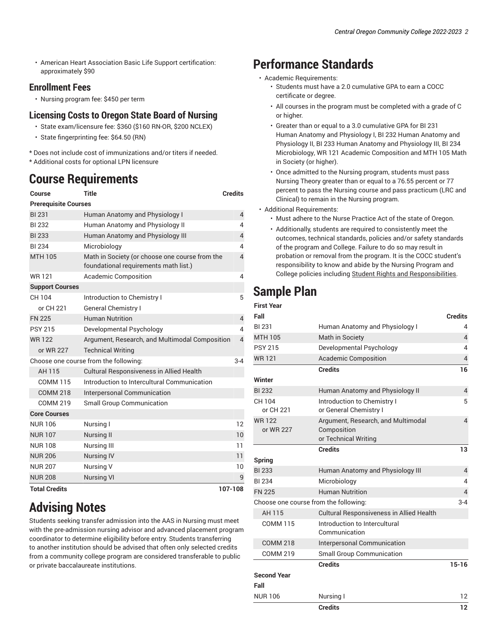• American Heart Association Basic Life Support certification: approximately \$90

#### **Enrollment Fees**

• Nursing program fee: \$450 per term

#### **Licensing Costs to Oregon State Board of Nursing**

- State exam/licensure fee: \$360 (\$160 RN-OR, \$200 NCLEX)
- State fingerprinting fee: \$64.50 (RN)

\* Does not include cost of immunizations and/or titers if needed. \* Additional costs for optional LPN licensure

### **Course Requirements**

| Course                                           | Title                                                                                   | <b>Credits</b> |  |  |
|--------------------------------------------------|-----------------------------------------------------------------------------------------|----------------|--|--|
| <b>Prerequisite Courses</b>                      |                                                                                         |                |  |  |
| <b>BI 231</b>                                    | Human Anatomy and Physiology I<br>$\overline{4}$                                        |                |  |  |
| <b>BI 232</b>                                    | Human Anatomy and Physiology II                                                         |                |  |  |
| <b>BI 233</b>                                    | Human Anatomy and Physiology III                                                        |                |  |  |
| <b>BI 234</b>                                    | Microbiology                                                                            |                |  |  |
| <b>MTH 105</b>                                   | Math in Society (or choose one course from the<br>foundational requirements math list.) |                |  |  |
| <b>WR121</b>                                     | <b>Academic Composition</b>                                                             |                |  |  |
| <b>Support Courses</b>                           |                                                                                         |                |  |  |
| CH 104                                           | Introduction to Chemistry I                                                             | 5              |  |  |
| or CH 221                                        | <b>General Chemistry I</b>                                                              |                |  |  |
| <b>FN 225</b>                                    | <b>Human Nutrition</b>                                                                  | $\overline{4}$ |  |  |
| <b>PSY 215</b>                                   | Developmental Psychology                                                                |                |  |  |
| <b>WR122</b>                                     | $\overline{4}$<br>Argument, Research, and Multimodal Composition                        |                |  |  |
| or WR 227                                        | <b>Technical Writing</b>                                                                |                |  |  |
| Choose one course from the following:<br>$3 - 4$ |                                                                                         |                |  |  |
| AH 115                                           | <b>Cultural Responsiveness in Allied Health</b>                                         |                |  |  |
| <b>COMM 115</b>                                  | Introduction to Intercultural Communication                                             |                |  |  |
| <b>COMM 218</b>                                  | Interpersonal Communication                                                             |                |  |  |
| <b>COMM 219</b>                                  | <b>Small Group Communication</b>                                                        |                |  |  |
| <b>Core Courses</b>                              |                                                                                         |                |  |  |
| <b>NUR106</b>                                    | Nursing I                                                                               | 12             |  |  |
| <b>NUR107</b>                                    | <b>Nursing II</b>                                                                       | 10             |  |  |
| <b>NUR108</b>                                    | Nursing III                                                                             | 11             |  |  |
| <b>NUR 206</b>                                   | <b>Nursing IV</b>                                                                       | 11             |  |  |
| <b>NUR 207</b>                                   | Nursing V<br>10                                                                         |                |  |  |
| <b>NUR 208</b>                                   | <b>Nursing VI</b>                                                                       | 9              |  |  |
| <b>Total Credits</b>                             | 107-108                                                                                 |                |  |  |

# **Advising Notes**

Students seeking transfer admission into the AAS in Nursing must meet with the pre-admission nursing advisor and advanced placement program coordinator to determine eligibility before entry. Students transferring to another institution should be advised that often only selected credits from a community college program are considered transferable to public or private baccalaureate institutions.

### **Performance Standards**

- Academic Requirements:
	- Students must have a 2.0 cumulative GPA to earn a COCC certificate or degree.
	- All courses in the program must be completed with a grade of C or higher.
	- Greater than or equal to a 3.0 cumulative GPA for BI 231 Human Anatomy and Physiology I, BI 232 Human Anatomy and Physiology II, BI 233 Human Anatomy and Physiology III, BI 234 Microbiology, WR 121 Academic Composition and MTH 105 Math in Society (or higher).
	- Once admitted to the Nursing program, students must pass Nursing Theory greater than or equal to a 76.55 percent or 77 percent to pass the Nursing course and pass practicum (LRC and Clinical) to remain in the Nursing program.
- Additional Requirements:
	- Must adhere to the Nurse Practice Act of the state of Oregon.
	- Additionally, students are required to consistently meet the outcomes, technical standards, policies and/or safety standards of the program and College. Failure to do so may result in probation or removal from the program. It is the COCC student's responsibility to know and abide by the Nursing Program and College policies including [Student Rights and Responsibilities](https://www.cocc.edu/departments/student-life/student-policies.aspx).

# **Sample Plan**

**First Year**

| First Year<br>Fall                               |                                                 | <b>Credits</b> |  |
|--------------------------------------------------|-------------------------------------------------|----------------|--|
|                                                  |                                                 | 4              |  |
| BI 231                                           | Human Anatomy and Physiology I                  |                |  |
| <b>MTH 105</b>                                   | Math in Society                                 | $\overline{4}$ |  |
| <b>PSY 215</b>                                   | Developmental Psychology                        | 4              |  |
| <b>WR121</b>                                     | <b>Academic Composition</b>                     | $\overline{4}$ |  |
|                                                  | <b>Credits</b>                                  | 16             |  |
| Winter                                           |                                                 |                |  |
| <b>BI 232</b>                                    | Human Anatomy and Physiology II                 | $\overline{4}$ |  |
| CH 104                                           | Introduction to Chemistry I                     |                |  |
| or CH 221                                        | or General Chemistry I                          |                |  |
| <b>WR122</b>                                     | Argument, Research, and Multimodal              |                |  |
| or WR 227                                        | Composition                                     |                |  |
|                                                  | or Technical Writing                            |                |  |
|                                                  | <b>Credits</b>                                  | 13             |  |
| Spring                                           |                                                 |                |  |
| <b>BI 233</b>                                    | Human Anatomy and Physiology III                | 4              |  |
| <b>BI 234</b>                                    | Microbiology                                    | 4              |  |
| <b>FN 225</b>                                    | <b>Human Nutrition</b>                          | $\overline{4}$ |  |
| Choose one course from the following:<br>$3 - 4$ |                                                 |                |  |
| AH 115                                           | <b>Cultural Responsiveness in Allied Health</b> |                |  |
| <b>COMM 115</b>                                  | Introduction to Intercultural                   |                |  |
|                                                  | Communication                                   |                |  |
| <b>COMM 218</b>                                  | <b>Interpersonal Communication</b>              |                |  |
| <b>COMM 219</b>                                  | <b>Small Group Communication</b>                |                |  |
|                                                  | <b>Credits</b>                                  | $15 - 16$      |  |
| <b>Second Year</b>                               |                                                 |                |  |
| Fall                                             |                                                 |                |  |
| <b>NUR106</b>                                    | Nursing I                                       | 12             |  |
|                                                  | <b>Credits</b>                                  | 12             |  |
|                                                  |                                                 |                |  |